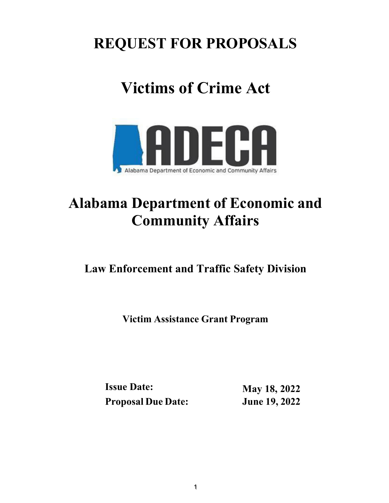## **REQUEST FOR PROPOSALS**

# **Victims of Crime Act**



## **Alabama Department of Economic and Community Affairs**

## **Law Enforcement and Traffic Safety Division**

**Victim Assistance Grant Program**

**Issue Date: Proposal Due Date:** 

**May 18, 2022 June 19, 2022**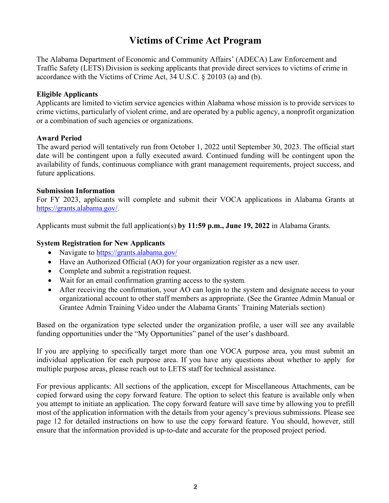### **Victims of Crime Act Program**

The Alabama Department of Economic and Community Affairs' (ADECA) Law Enforcement and Traffic Safety (LETS) Division is seeking applicants that provide direct services to victims of crime in accordance with the Victims of Crime Act, 34 U.S.C. § 20103 (a) and (b).

#### <span id="page-1-0"></span>**Eligible Applicants**

Applicants are limited to victim service agencies within Alabama whose mission is to provide services to crime victims, particularly of violent crime, and are operated by a public agency, a nonprofit organization or a combination of such agencies or organizations.

#### <span id="page-1-1"></span>**Award Period**

The award period will tentatively run from October 1, 2022 until September 30, 2023. The official start date will be contingent upon a fully executed award. Continued funding will be contingent upon the availability of funds, continuous compliance with grant management requirements, project success, and future applications.

#### <span id="page-1-2"></span>**Submission Information**

For FY 2023, applicants will complete and submit their VOCA applications in Alabama Grants at [https://grants.alabama.gov/.](https://grants.alabama.gov/)

Applicants must submit the full application(s) **by 11:59 p.m., June 19, 2022** in Alabama Grants.

#### <span id="page-1-3"></span>**System Registration for New Applicants**

- Navigate to <https://grants.alabama.gov/>
- Have an Authorized Official (AO) for your organization register as a new user.
- Complete and submit a registration request.
- Wait for an email confirmation granting access to the system.
- After receiving the confirmation, your AO can login to the system and designate access to your organizational account to other staff members as appropriate. (See the Grantee Admin Manual or Grantee Admin Training Video under the Alabama Grants' Training Materials section)

Based on the organization type selected under the organization profile, a user will see any available funding opportunities under the "My Opportunities" panel of the user's dashboard.

If you are applying to specifically target more than one VOCA purpose area, you must submit an individual application for each purpose area. If you have any questions about whether to apply for multiple purpose areas, please reach out to LETS staff for technical assistance.

For previous applicants: All sections of the application, except for Miscellaneous Attachments, can be copied forward using the copy forward feature. The option to select this feature is available only when you attempt to initiate an application. The copy forward feature will save time by allowing you to prefill most of the application information with the details from your agency's previous submissions. Please see page 12 for detailed instructions on how to use the copy forward feature. You should, however, still ensure that the information provided is up-to-date and accurate for the proposed project period.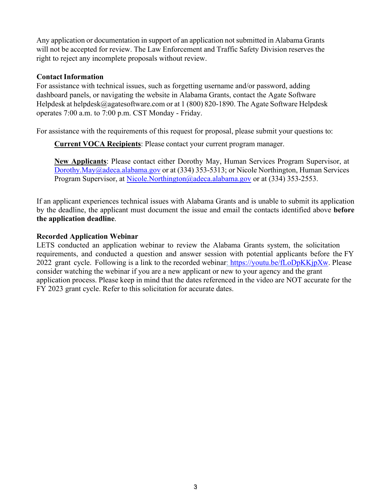Any application or documentation in support of an application not submitted in Alabama Grants will not be accepted for review. The Law Enforcement and Traffic Safety Division reserves the right to reject any incomplete proposals without review.

#### <span id="page-2-0"></span>**Contact Information**

For assistance with technical issues, such as forgetting username and/or password, adding dashboard panels, or navigating the website in Alabama Grants, contact the Agate Software Helpdesk at [helpdesk@agatesoftware.com](mailto:helpdesk@agatesoftware.com) or at 1 (800) 820-1890. The Agate Software Helpdesk operates 7:00 a.m. to 7:00 p.m. CST Monday - Friday.

For assistance with the requirements of this request for proposal, please submit your questions to:

**Current VOCA Recipients**: Please contact your current program manager.

**New Applicants**: Please contact either Dorothy May, Human Services Program Supervisor, at [Dorothy.May@adeca.alabama.gov o](mailto:Dorothy.May@adeca.alabama.gov)r at (334) 353-5313; or Nicole Northington, Human Services Program Supervisor, at [Nicole.Northington@adeca.alabama.gov](mailto:Nicole.Northington@adeca.alabama.gov) or at (334) 353-2553.

If an applicant experiences technical issues with Alabama Grants and is unable to submit its application by the deadline, the applicant must document the issue and email the contacts identified above **before the application deadline**.

#### <span id="page-2-1"></span>**Recorded Application Webinar**

LETS conducted an application webinar to review the Alabama Grants system, the solicitation requirements, and conducted a question and answer session with potential applicants before the FY 2022 grant cycle. Following is a link to the recorded webinar: [https://youtu.be/fLoDpKKjpXw.](https://youtu.be/fLoDpKKjpXw) Please consider watching the webinar if you are a new applicant or new to your agency and the grant application process. Please keep in mind that the dates referenced in the video are NOT accurate for the FY 2023 grant cycle. Refer to this solicitation for accurate dates.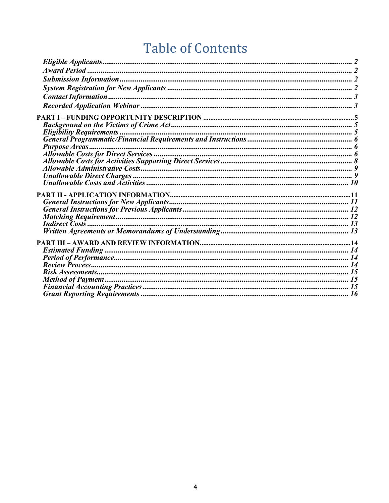## **Table of Contents**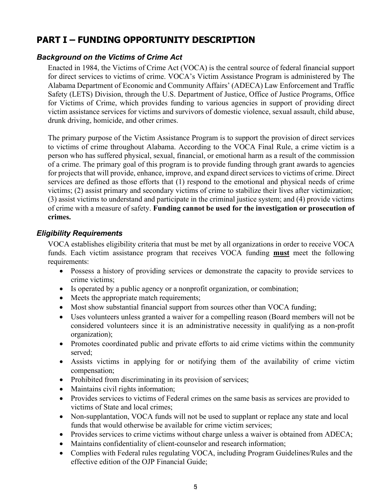### <span id="page-4-0"></span>**PART I – FUNDING OPPORTUNITY DESCRIPTION**

#### <span id="page-4-1"></span>*Background on the Victims of Crime Act*

Enacted in 1984, the Victims of Crime Act (VOCA) is the central source of federal financial support for direct services to victims of crime. VOCA's Victim Assistance Program is administered by The Alabama Department of Economic and Community Affairs' (ADECA) Law Enforcement and Traffic Safety (LETS) Division, through the U.S. Department of Justice, Office of Justice Programs, Office for Victims of Crime, which provides funding to various agencies in support of providing direct victim assistance services for victims and survivors of domestic violence, sexual assault, child abuse, drunk driving, homicide, and other crimes.

The primary purpose of the Victim Assistance Program is to support the provision of direct services to victims of crime throughout Alabama. According to the VOCA Final Rule, a crime victim is a person who has suffered physical, sexual, financial, or emotional harm as a result of the commission of a crime. The primary goal of this program is to provide funding through grant awards to agencies for projects that will provide, enhance, improve, and expand direct services to victims of crime. Direct services are defined as those efforts that (1) respond to the emotional and physical needs of crime victims; (2) assist primary and secondary victims of crime to stabilize their lives after victimization; (3) assist victims to understand and participate in the criminal justice system; and (4) provide victims of crime with a measure of safety. **Funding cannot be used for the investigation or prosecution of crimes.**

#### <span id="page-4-2"></span>*Eligibility Requirements*

VOCA establishes eligibility criteria that must be met by all organizations in order to receive VOCA funds. Each victim assistance program that receives VOCA funding **must** meet the following requirements:

- Possess a history of providing services or demonstrate the capacity to provide services to crime victims;
- Is operated by a public agency or a nonprofit organization, or combination;
- Meets the appropriate match requirements;
- Most show substantial financial support from sources other than VOCA funding;
- Uses volunteers unless granted a waiver for a compelling reason (Board members will not be considered volunteers since it is an administrative necessity in qualifying as a non-profit organization);
- Promotes coordinated public and private efforts to aid crime victims within the community served;
- Assists victims in applying for or notifying them of the availability of crime victim compensation;
- Prohibited from discriminating in its provision of services;
- Maintains civil rights information;
- Provides services to victims of Federal crimes on the same basis as services are provided to victims of State and local crimes;
- Non-supplantation, VOCA funds will not be used to supplant or replace any state and local funds that would otherwise be available for crime victim services;
- Provides services to crime victims without charge unless a waiver is obtained from ADECA;
- Maintains confidentiality of client-counselor and research information;
- Complies with Federal rules regulating VOCA, including Program Guidelines/Rules and the effective edition of the OJP Financial Guide;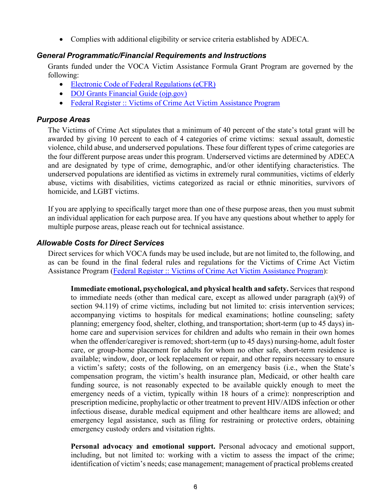• Complies with additional eligibility or service criteria established by ADECA.

#### <span id="page-5-0"></span>*General Programmatic/Financial Requirements and Instructions*

Grants funded under the VOCA Victim Assistance Formula Grant Program are governed by the following:

- [Electronic Code of Federal Regulations \(eCFR\)](https://www.ecfr.gov/cgi-bin/text-idx?SID=81515d40cd8e3f1e107442e6522e0c27&mc=true&node=pt2.1.200&rgn=div5)
- DOJ [Grants Financial](https://www.ojp.gov/sites/g/files/xyckuh241/files/media/document/DOJ_FinancialGuide_1.pdf) Guide (ojp.gov)
- Federal Register :: [Victims of Crime](https://www.federalregister.gov/documents/2016/07/08/2016-16085/victims-of-crime-act-victim-assistance-program) Act Victim Assistance Program

#### <span id="page-5-1"></span>*Purpose Areas*

The Victims of Crime Act stipulates that a minimum of 40 percent of the state's total grant will be awarded by giving 10 percent to each of 4 categories of crime victims: sexual assault, domestic violence, child abuse, and underserved populations. These four different types of crime categories are the four different purpose areas under this program. Underserved victims are determined by ADECA and are designated by type of crime, demographic, and/or other identifying characteristics. The underserved populations are identified as victims in extremely rural communities, victims of elderly abuse, victims with disabilities, victims categorized as racial or ethnic minorities, survivors of homicide, and LGBT victims.

If you are applying to specifically target more than one of these purpose areas, then you must submit an individual application for each purpose area. If you have any questions about whether to apply for multiple purpose areas, please reach out for technical assistance.

#### <span id="page-5-2"></span>*Allowable Costs for Direct Services*

Direct services for which VOCA funds may be used include, but are not limited to, the following, and as can be found in the final federal rules and regulations for the Victims of Crime Act Victim Assistance Program [\(Federal Register :: Victims of Crime Act Victim Assistance Program\)](https://www.federalregister.gov/documents/2016/07/08/2016-16085/victims-of-crime-act-victim-assistance-program):

**Immediate emotional, psychological, and physical health and safety.** Services that respond to immediate needs (other than medical care, except as allowed under paragraph (a)(9) of section 94.119) of crime victims, including but not limited to: crisis intervention services; accompanying victims to hospitals for medical examinations; hotline counseling; safety planning; emergency food, shelter, clothing, and transportation; short-term (up to 45 days) inhome care and supervision services for children and adults who remain in their own homes when the offender/caregiver is removed; short-term (up to 45 days) nursing-home, adult foster care, or group-home placement for adults for whom no other safe, short-term residence is available; window, door, or lock replacement or repair, and other repairs necessary to ensure a victim's safety; costs of the following, on an emergency basis (i.e., when the State's compensation program, the victim's health insurance plan, Medicaid, or other health care funding source, is not reasonably expected to be available quickly enough to meet the emergency needs of a victim, typically within 18 hours of a crime): nonprescription and prescription medicine, prophylactic or other treatment to prevent HIV/AIDS infection or other infectious disease, durable medical equipment and other healthcare items are allowed; and emergency legal assistance, such as filing for restraining or protective orders, obtaining emergency custody orders and visitation rights.

**Personal advocacy and emotional support.** Personal advocacy and emotional support, including, but not limited to: working with a victim to assess the impact of the crime; identification of victim's needs; case management; management of practical problems created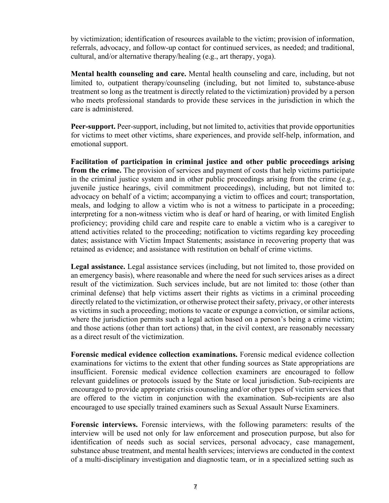by victimization; identification of resources available to the victim; provision of information, referrals, advocacy, and follow-up contact for continued services, as needed; and traditional, cultural, and/or alternative therapy/healing (e.g., art therapy, yoga).

**Mental health counseling and care.** Mental health counseling and care, including, but not limited to, outpatient therapy/counseling (including, but not limited to, substance-abuse treatment so long as the treatment is directly related to the victimization) provided by a person who meets professional standards to provide these services in the jurisdiction in which the care is administered.

**Peer-support.** Peer-support, including, but not limited to, activities that provide opportunities for victims to meet other victims, share experiences, and provide self-help, information, and emotional support.

**Facilitation of participation in criminal justice and other public proceedings arising from the crime.** The provision of services and payment of costs that help victims participate in the criminal justice system and in other public proceedings arising from the crime (e.g., juvenile justice hearings, civil commitment proceedings), including, but not limited to: advocacy on behalf of a victim; accompanying a victim to offices and court; transportation, meals, and lodging to allow a victim who is not a witness to participate in a proceeding; interpreting for a non-witness victim who is deaf or hard of hearing, or with limited English proficiency; providing child care and respite care to enable a victim who is a caregiver to attend activities related to the proceeding; notification to victims regarding key proceeding dates; assistance with Victim Impact Statements; assistance in recovering property that was retained as evidence; and assistance with restitution on behalf of crime victims.

**Legal assistance.** Legal assistance services (including, but not limited to, those provided on an emergency basis), where reasonable and where the need for such services arises as a direct result of the victimization. Such services include, but are not limited to: those (other than criminal defense) that help victims assert their rights as victims in a criminal proceeding directly related to the victimization, or otherwise protect their safety, privacy, or other interests as victims in such a proceeding; motions to vacate or expunge a conviction, or similar actions, where the jurisdiction permits such a legal action based on a person's being a crime victim; and those actions (other than tort actions) that, in the civil context, are reasonably necessary as a direct result of the victimization.

**Forensic medical evidence collection examinations.** Forensic medical evidence collection examinations for victims to the extent that other funding sources as State appropriations are insufficient. Forensic medical evidence collection examiners are encouraged to follow relevant guidelines or protocols issued by the State or local jurisdiction. Sub-recipients are encouraged to provide appropriate crisis counseling and/or other types of victim services that are offered to the victim in conjunction with the examination. Sub-recipients are also encouraged to use specially trained examiners such as Sexual Assault Nurse Examiners.

**Forensic interviews.** Forensic interviews, with the following parameters: results of the interview will be used not only for law enforcement and prosecution purpose, but also for identification of needs such as social services, personal advocacy, case management, substance abuse treatment, and mental health services; interviews are conducted in the context of a multi-disciplinary investigation and diagnostic team, or in a specialized setting such as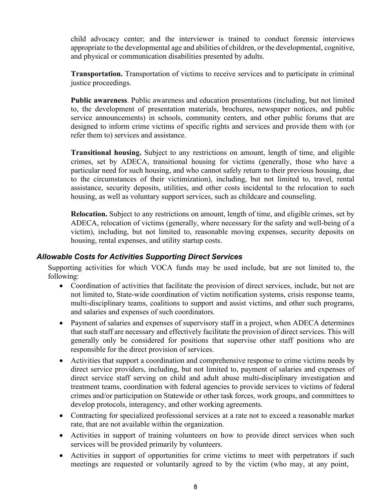child advocacy center; and the interviewer is trained to conduct forensic interviews appropriate to the developmental age and abilities of children, or the developmental, cognitive, and physical or communication disabilities presented by adults.

**Transportation.** Transportation of victims to receive services and to participate in criminal justice proceedings.

**Public awareness**. Public awareness and education presentations (including, but not limited to, the development of presentation materials, brochures, newspaper notices, and public service announcements) in schools, community centers, and other public forums that are designed to inform crime victims of specific rights and services and provide them with (or refer them to) services and assistance.

**Transitional housing.** Subject to any restrictions on amount, length of time, and eligible crimes, set by ADECA, transitional housing for victims (generally, those who have a particular need for such housing, and who cannot safely return to their previous housing, due to the circumstances of their victimization), including, but not limited to, travel, rental assistance, security deposits, utilities, and other costs incidental to the relocation to such housing, as well as voluntary support services, such as childcare and counseling.

**Relocation.** Subject to any restrictions on amount, length of time, and eligible crimes, set by ADECA, relocation of victims (generally, where necessary for the safety and well-being of a victim), including, but not limited to, reasonable moving expenses, security deposits on housing, rental expenses, and utility startup costs.

#### <span id="page-7-0"></span>*Allowable Costs for Activities Supporting Direct Services*

Supporting activities for which VOCA funds may be used include, but are not limited to, the following:

- Coordination of activities that facilitate the provision of direct services, include, but not are not limited to, State-wide coordination of victim notification systems, crisis response teams, multi-disciplinary teams, coalitions to support and assist victims, and other such programs, and salaries and expenses of such coordinators.
- Payment of salaries and expenses of supervisory staff in a project, when ADECA determines that such staff are necessary and effectively facilitate the provision of direct services. This will generally only be considered for positions that supervise other staff positions who are responsible for the direct provision of services.
- Activities that support a coordination and comprehensive response to crime victims needs by direct service providers, including, but not limited to, payment of salaries and expenses of direct service staff serving on child and adult abuse multi-disciplinary investigation and treatment teams, coordination with federal agencies to provide services to victims of federal crimes and/or participation on Statewide or other task forces, work groups, and committees to develop protocols, interagency, and other working agreements.
- Contracting for specialized professional services at a rate not to exceed a reasonable market rate, that are not available within the organization.
- Activities in support of training volunteers on how to provide direct services when such services will be provided primarily by volunteers.
- Activities in support of opportunities for crime victims to meet with perpetrators if such meetings are requested or voluntarily agreed to by the victim (who may, at any point,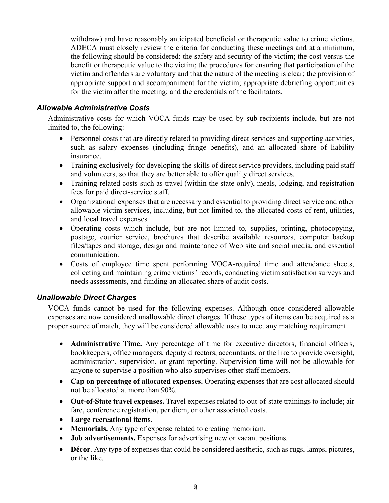withdraw) and have reasonably anticipated beneficial or therapeutic value to crime victims. ADECA must closely review the criteria for conducting these meetings and at a minimum, the following should be considered: the safety and security of the victim; the cost versus the benefit or therapeutic value to the victim; the procedures for ensuring that participation of the victim and offenders are voluntary and that the nature of the meeting is clear; the provision of appropriate support and accompaniment for the victim; appropriate debriefing opportunities for the victim after the meeting; and the credentials of the facilitators.

#### <span id="page-8-0"></span>*Allowable Administrative Costs*

Administrative costs for which VOCA funds may be used by sub-recipients include, but are not limited to, the following:

- Personnel costs that are directly related to providing direct services and supporting activities, such as salary expenses (including fringe benefits), and an allocated share of liability insurance.
- Training exclusively for developing the skills of direct service providers, including paid staff and volunteers, so that they are better able to offer quality direct services.
- Training-related costs such as travel (within the state only), meals, lodging, and registration fees for paid direct-service staff.
- Organizational expenses that are necessary and essential to providing direct service and other allowable victim services, including, but not limited to, the allocated costs of rent, utilities, and local travel expenses
- Operating costs which include, but are not limited to, supplies, printing, photocopying, postage, courier service, brochures that describe available resources, computer backup files/tapes and storage, design and maintenance of Web site and social media, and essential communication.
- Costs of employee time spent performing VOCA-required time and attendance sheets, collecting and maintaining crime victims' records, conducting victim satisfaction surveys and needs assessments, and funding an allocated share of audit costs.

#### <span id="page-8-1"></span>*Unallowable Direct Charges*

VOCA funds cannot be used for the following expenses. Although once considered allowable expenses are now considered unallowable direct charges. If these types of items can be acquired as a proper source of match, they will be considered allowable uses to meet any matching requirement.

- **Administrative Time.** Any percentage of time for executive directors, financial officers, bookkeepers, office managers, deputy directors, accountants, or the like to provide oversight, administration, supervision, or grant reporting. Supervision time will not be allowable for anyone to supervise a position who also supervises other staff members.
- **Cap on percentage of allocated expenses.** Operating expenses that are cost allocated should not be allocated at more than 90%.
- **Out-of-State travel expenses.** Travel expenses related to out-of-state trainings to include; air fare, conference registration, per diem, or other associated costs.
- **Large recreational items.**
- **Memorials.** Any type of expense related to creating memoriam.
- **Job advertisements.** Expenses for advertising new or vacant positions.
- **Décor**. Any type of expenses that could be considered aesthetic, such as rugs, lamps, pictures, or the like.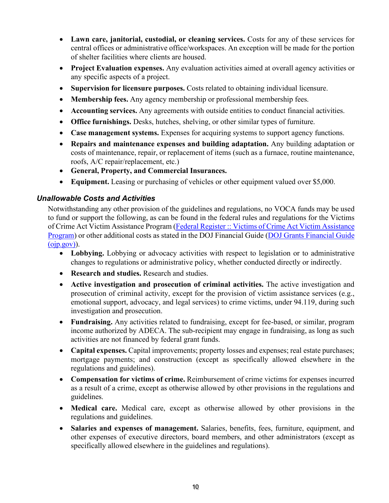- **Lawn care, janitorial, custodial, or cleaning services.** Costs for any of these services for central offices or administrative office/workspaces. An exception will be made for the portion of shelter facilities where clients are housed.
- **Project Evaluation expenses.** Any evaluation activities aimed at overall agency activities or any specific aspects of a project.
- **Supervision for licensure purposes.** Costs related to obtaining individual licensure.
- **Membership fees.** Any agency membership or professional membership fees.
- **Accounting services.** Any agreements with outside entities to conduct financial activities.
- **Office furnishings.** Desks, hutches, shelving, or other similar types of furniture.
- **Case management systems.** Expenses for acquiring systems to support agency functions.
- **Repairs and maintenance expenses and building adaptation.** Any building adaptation or costs of maintenance, repair, or replacement of items (such as a furnace, routine maintenance, roofs, A/C repair/replacement, etc.)
- **General, Property, and Commercial Insurances.**
- **Equipment.** Leasing or purchasing of vehicles or other equipment valued over \$5,000.

#### <span id="page-9-0"></span>*Unallowable Costs and Activities*

Notwithstanding any other provision of the guidelines and regulations, no VOCA funds may be used to fund or support the following, as can be found in the federal rules and regulations for the Victims of Crime Act Victim Assistance Program (Federal Register :: [Victims of Crime](https://www.federalregister.gov/documents/2016/07/08/2016-16085/victims-of-crime-act-victim-assistance-program) Act Victim Assistance [Program\)](https://www.federalregister.gov/documents/2016/07/08/2016-16085/victims-of-crime-act-victim-assistance-program) or other additional costs as stated in the DOJ Financial Guide (DOJ Grants [Financial](https://www.ojp.gov/sites/g/files/xyckuh241/files/media/document/DOJ_FinancialGuide_1.pdf) Guide  $(oip.gov)$ ).

- **Lobbying.** Lobbying or advocacy activities with respect to legislation or to administrative changes to regulations or administrative policy, whether conducted directly or indirectly.
- **Research and studies.** Research and studies.
- **Active investigation and prosecution of criminal activities.** The active investigation and prosecution of criminal activity, except for the provision of victim assistance services (e.g., emotional support, advocacy, and legal services) to crime victims, under 94.119, during such investigation and prosecution.
- **Fundraising.** Any activities related to fundraising, except for fee-based, or similar, program income authorized by ADECA. The sub-recipient may engage in fundraising, as long as such activities are not financed by federal grant funds.
- **Capital expenses.** Capital improvements; property losses and expenses; real estate purchases; mortgage payments; and construction (except as specifically allowed elsewhere in the regulations and guidelines).
- **Compensation for victims of crime.** Reimbursement of crime victims for expenses incurred as a result of a crime, except as otherwise allowed by other provisions in the regulations and guidelines.
- **Medical care.** Medical care, except as otherwise allowed by other provisions in the regulations and guidelines.
- **Salaries and expenses of management.** Salaries, benefits, fees, furniture, equipment, and other expenses of executive directors, board members, and other administrators (except as specifically allowed elsewhere in the guidelines and regulations).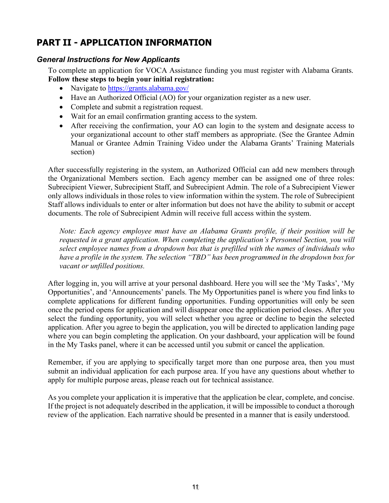### <span id="page-10-0"></span>**PART II - APPLICATION INFORMATION**

#### <span id="page-10-1"></span>*General Instructions for New Applicants*

To complete an application for VOCA Assistance funding you must register with Alabama Grants. **Follow these steps to begin your initial registration:**

- Navigate to <https://grants.alabama.gov/>
- Have an Authorized Official (AO) for your organization register as a new user.
- Complete and submit a registration request.
- Wait for an email confirmation granting access to the system.
- After receiving the confirmation, your AO can login to the system and designate access to your organizational account to other staff members as appropriate. (See the Grantee Admin Manual or Grantee Admin Training Video under the Alabama Grants' Training Materials section)

After successfully registering in the system, an Authorized Official can add new members through the Organizational Members section. Each agency member can be assigned one of three roles: Subrecipient Viewer, Subrecipient Staff, and Subrecipient Admin. The role of a Subrecipient Viewer only allows individuals in those roles to view information within the system. The role of Subrecipient Staff allows individuals to enter or alter information but does not have the ability to submit or accept documents. The role of Subrecipient Admin will receive full access within the system.

*Note: Each agency employee must have an Alabama Grants profile, if their position will be requested in a grant application. When completing the application's Personnel Section, you will select employee names from a dropdown box that is prefilled with the names of individuals who have a profile in the system. The selection "TBD" has been programmed in the dropdown box for vacant or unfilled positions.* 

After logging in, you will arrive at your personal dashboard. Here you will see the 'My Tasks', 'My Opportunities', and 'Announcements' panels. The My Opportunities panel is where you find links to complete applications for different funding opportunities. Funding opportunities will only be seen once the period opens for application and will disappear once the application period closes. After you select the funding opportunity, you will select whether you agree or decline to begin the selected application. After you agree to begin the application, you will be directed to application landing page where you can begin completing the application. On your dashboard, your application will be found in the My Tasks panel, where it can be accessed until you submit or cancel the application.

Remember, if you are applying to specifically target more than one purpose area, then you must submit an individual application for each purpose area. If you have any questions about whether to apply for multiple purpose areas, please reach out for technical assistance.

As you complete your application it is imperative that the application be clear, complete, and concise. If the project is not adequately described in the application, it will be impossible to conduct a thorough review of the application. Each narrative should be presented in a manner that is easily understood.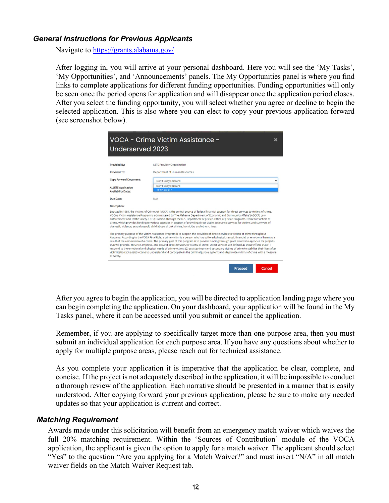#### <span id="page-11-0"></span>*General Instructions for Previous Applicants*

Navigate to <https://grants.alabama.gov/>

After logging in, you will arrive at your personal dashboard. Here you will see the 'My Tasks', 'My Opportunities', and 'Announcements' panels. The My Opportunities panel is where you find links to complete applications for different funding opportunities. Funding opportunities will only be seen once the period opens for application and will disappear once the application period closes. After you select the funding opportunity, you will select whether you agree or decline to begin the selected application. This is also where you can elect to copy your previous application forward (see screenshot below).

| VOCA - Crime Victim Assistance -<br>Underserved 2023    |                                                                                                                                                                                                                                                                                                                                                                                                                                                                                                                                                                                                                                                                                                                                                                                                                                                                                  |  |
|---------------------------------------------------------|----------------------------------------------------------------------------------------------------------------------------------------------------------------------------------------------------------------------------------------------------------------------------------------------------------------------------------------------------------------------------------------------------------------------------------------------------------------------------------------------------------------------------------------------------------------------------------------------------------------------------------------------------------------------------------------------------------------------------------------------------------------------------------------------------------------------------------------------------------------------------------|--|
| Provided By:                                            | <b>LETS Provider Organization</b>                                                                                                                                                                                                                                                                                                                                                                                                                                                                                                                                                                                                                                                                                                                                                                                                                                                |  |
| Provided To:                                            | Department of Human Resources                                                                                                                                                                                                                                                                                                                                                                                                                                                                                                                                                                                                                                                                                                                                                                                                                                                    |  |
| Copy Forward Document:                                  | Don't Copy Forward                                                                                                                                                                                                                                                                                                                                                                                                                                                                                                                                                                                                                                                                                                                                                                                                                                                               |  |
| <b>ALLETS Application</b><br><b>Availability Dates:</b> | Don't Copy Forward<br>19 VA VS 017                                                                                                                                                                                                                                                                                                                                                                                                                                                                                                                                                                                                                                                                                                                                                                                                                                               |  |
| Due Date:                                               | N/A                                                                                                                                                                                                                                                                                                                                                                                                                                                                                                                                                                                                                                                                                                                                                                                                                                                                              |  |
| Description:                                            |                                                                                                                                                                                                                                                                                                                                                                                                                                                                                                                                                                                                                                                                                                                                                                                                                                                                                  |  |
|                                                         | Enacted in 1984, the Victims of Crime Act (VOCA) is the central source of federal financial support for direct services to victims of crime.<br>VOCA's Victim Assistance Program is administered by The Alabama Department of Economic and Community Affairs' (ADECA) Law<br>Enforcement and Traffic Safety (LETS) Division, through the U.S. Department of Justice, Office of Justice Programs, Office for Victims of<br>Crime, which provides funding to various agencies in support of providing direct victim assistance services for victims and survivors of<br>domestic violence, sexual assault, child abuse, drunk driving, homicide, and other crimes.                                                                                                                                                                                                                 |  |
|                                                         | The primary purpose of the Victim Assistance Program is to support the provision of direct services to victims of crime throughout<br>Alabama. According to the VOCA Final Rule, a crime victim is a person who has suffered physical, sexual, financial, or emotional harm as a<br>result of the commission of a crime. The primary goal of this program is to provide funding through grant awards to agencies for projects<br>that will provide, enhance, improve, and expand direct services to victims of crime. Direct services are defined as those efforts that (1)<br>respond to the emotional and physical needs of crime victims; (2) assist primary and secondary victims of crime to stabilize their lives after<br>victimization: (3) assist victims to understand and participate in the criminal justice system: and (4) provide victims of crime with a measure |  |

After you agree to begin the application, you will be directed to application landing page where you can begin completing the application. On your dashboard, your application will be found in the My Tasks panel, where it can be accessed until you submit or cancel the application.

Remember, if you are applying to specifically target more than one purpose area, then you must submit an individual application for each purpose area. If you have any questions about whether to apply for multiple purpose areas, please reach out for technical assistance.

As you complete your application it is imperative that the application be clear, complete, and concise. If the project is not adequately described in the application, it will be impossible to conduct a thorough review of the application. Each narrative should be presented in a manner that is easily understood. After copying forward your previous application, please be sure to make any needed updates so that your application is current and correct.

#### <span id="page-11-1"></span>*Matching Requirement*

Awards made under this solicitation will benefit from an emergency match waiver which waives the full 20% matching requirement. Within the 'Sources of Contribution' module of the VOCA application, the applicant is given the option to apply for a match waiver. The applicant should select "Yes" to the question "Are you applying for a Match Waiver?" and must insert "N/A" in all match waiver fields on the Match Waiver Request tab.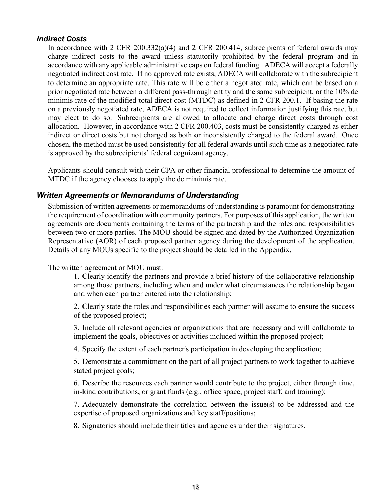#### <span id="page-12-0"></span>*Indirect Costs*

In accordance with 2 CFR 200.332(a)(4) and 2 CFR 200.414, subrecipients of federal awards may charge indirect costs to the award unless statutorily prohibited by the federal program and in accordance with any applicable administrative caps on federal funding. ADECA will accept a federally negotiated indirect cost rate. If no approved rate exists, ADECA will collaborate with the subrecipient to determine an appropriate rate. This rate will be either a negotiated rate, which can be based on a prior negotiated rate between a different pass-through entity and the same subrecipient, or the 10% de minimis rate of the modified total direct cost (MTDC) as defined in 2 CFR 200.1. If basing the rate on a previously negotiated rate, ADECA is not required to collect information justifying this rate, but may elect to do so. Subrecipients are allowed to allocate and charge direct costs through cost allocation. However, in accordance with 2 CFR 200.403, costs must be consistently charged as either indirect or direct costs but not charged as both or inconsistently charged to the federal award. Once chosen, the method must be used consistently for all federal awards until such time as a negotiated rate is approved by the subrecipients' federal cognizant agency.

Applicants should consult with their CPA or other financial professional to determine the amount of MTDC if the agency chooses to apply the de minimis rate.

#### <span id="page-12-1"></span>*Written Agreements or Memorandums of Understanding*

Submission of written agreements or memorandums of understanding is paramount for demonstrating the requirement of coordination with community partners. For purposes of this application, the written agreements are documents containing the terms of the partnership and the roles and responsibilities between two or more parties. The MOU should be signed and dated by the Authorized Organization Representative (AOR) of each proposed partner agency during the development of the application. Details of any MOUs specific to the project should be detailed in the Appendix.

The written agreement or MOU must:

1. Clearly identify the partners and provide a brief history of the collaborative relationship among those partners, including when and under what circumstances the relationship began and when each partner entered into the relationship;

2. Clearly state the roles and responsibilities each partner will assume to ensure the success of the proposed project;

3. Include all relevant agencies or organizations that are necessary and will collaborate to implement the goals, objectives or activities included within the proposed project;

4. Specify the extent of each partner's participation in developing the application;

5. Demonstrate a commitment on the part of all project partners to work together to achieve stated project goals;

6. Describe the resources each partner would contribute to the project, either through time, in-kind contributions, or grant funds (e.g., office space, project staff, and training);

7. Adequately demonstrate the correlation between the issue(s) to be addressed and the expertise of proposed organizations and key staff/positions;

8. Signatories should include their titles and agencies under their signatures.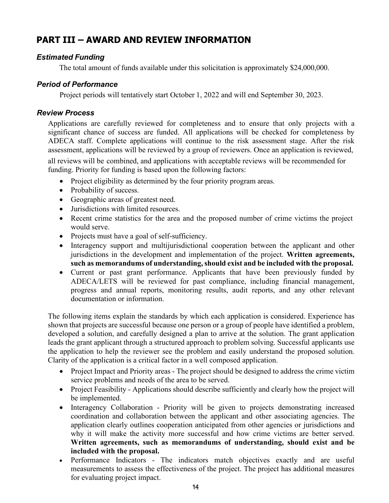### <span id="page-13-0"></span>**PART III – AWARD AND REVIEW INFORMATION**

#### <span id="page-13-1"></span>*Estimated Funding*

The total amount of funds available under this solicitation is approximately \$24,000,000.

#### <span id="page-13-2"></span>*Period of Performance*

Project periods will tentatively start October 1, 2022 and will end September 30, 2023.

#### <span id="page-13-3"></span>*Review Process*

Applications are carefully reviewed for completeness and to ensure that only projects with a significant chance of success are funded. All applications will be checked for completeness by ADECA staff. Complete applications will continue to the risk assessment stage. After the risk assessment, applications will be reviewed by a group of reviewers. Once an application is reviewed,

all reviews will be combined, and applications with acceptable reviews will be recommended for funding. Priority for funding is based upon the following factors:

- Project eligibility as determined by the four priority program areas.
- Probability of success.
- Geographic areas of greatest need.
- Jurisdictions with limited resources.
- Recent crime statistics for the area and the proposed number of crime victims the project would serve.
- Projects must have a goal of self-sufficiency.
- Interagency support and multijurisdictional cooperation between the applicant and other jurisdictions in the development and implementation of the project. **Written agreements, such as memorandums of understanding,should exist and be included with the proposal.**
- Current or past grant performance. Applicants that have been previously funded by ADECA/LETS will be reviewed for past compliance, including financial management, progress and annual reports, monitoring results, audit reports, and any other relevant documentation or information.

The following items explain the standards by which each application is considered. Experience has shown that projects are successful because one person or a group of people have identified a problem, developed a solution, and carefully designed a plan to arrive at the solution. The grant application leads the grant applicant through a structured approach to problem solving. Successful applicants use the application to help the reviewer see the problem and easily understand the proposed solution. Clarity of the application is a critical factor in a well composed application.

- Project Impact and Priority areas The project should be designed to address the crime victim service problems and needs of the area to be served.
- Project Feasibility Applications should describe sufficiently and clearly how the project will be implemented.
- Interagency Collaboration Priority will be given to projects demonstrating increased coordination and collaboration between the applicant and other associating agencies. The application clearly outlines cooperation anticipated from other agencies or jurisdictions and why it will make the activity more successful and how crime victims are better served. **Written agreements, such as memorandums of understanding, should exist and be included with the proposal.**
- Performance Indicators The indicators match objectives exactly and are useful measurements to assess the effectiveness of the project. The project has additional measures for evaluating project impact.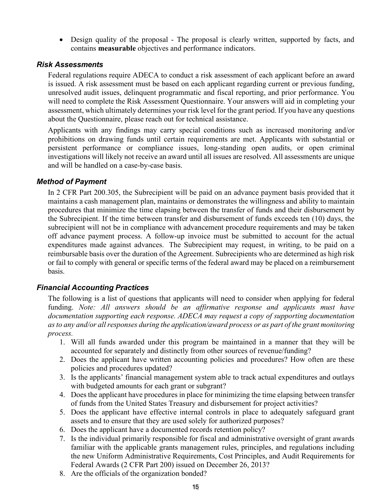• Design quality of the proposal - The proposal is clearly written, supported by facts, and contains **measurable** objectives and performance indicators.

#### <span id="page-14-0"></span>*Risk Assessments*

Federal regulations require ADECA to conduct a risk assessment of each applicant before an award is issued. A risk assessment must be based on each applicant regarding current or previous funding, unresolved audit issues, delinquent programmatic and fiscal reporting, and prior performance. You will need to complete the Risk Assessment Questionnaire. Your answers will aid in completing your assessment, which ultimately determines your risk level for the grant period. If you have any questions about the Questionnaire, please reach out for technical assistance.

Applicants with any findings may carry special conditions such as increased monitoring and/or prohibitions on drawing funds until certain requirements are met. Applicants with substantial or persistent performance or compliance issues, long-standing open audits, or open criminal investigations will likely not receive an award until all issues are resolved. All assessments are unique and will be handled on a case-by-case basis.

#### <span id="page-14-1"></span>*Method of Payment*

In 2 CFR Part 200.305, the Subrecipient will be paid on an advance payment basis provided that it maintains a cash management plan, maintains or demonstrates the willingness and ability to maintain procedures that minimize the time elapsing between the transfer of funds and their disbursement by the Subrecipient. If the time between transfer and disbursement of funds exceeds ten (10) days, the subrecipient will not be in compliance with advancement procedure requirements and may be taken off advance payment process. A follow-up invoice must be submitted to account for the actual expenditures made against advances. The Subrecipient may request, in writing, to be paid on a reimbursable basis over the duration of the Agreement. Subrecipients who are determined as high risk or fail to comply with general or specific terms of the federal award may be placed on a reimbursement basis.

#### <span id="page-14-2"></span>*Financial Accounting Practices*

The following is a list of questions that applicants will need to consider when applying for federal funding. *Note: All answers should be an affirmative response and applicants must have documentation supporting each response. ADECA may request a copy of supporting documentation as to any and/or all responses during the application/award process or as part of the grant monitoring process.*

- 1. Will all funds awarded under this program be maintained in a manner that they will be accounted for separately and distinctly from other sources of revenue/funding?
- 2. Does the applicant have written accounting policies and procedures? How often are these policies and procedures updated?
- 3. Is the applicants' financial management system able to track actual expenditures and outlays with budgeted amounts for each grant or subgrant?
- 4. Does the applicant have procedures in place for minimizing the time elapsing between transfer of funds from the United States Treasury and disbursement for project activities?
- 5. Does the applicant have effective internal controls in place to adequately safeguard grant assets and to ensure that they are used solely for authorized purposes?
- 6. Does the applicant have a documented records retention policy?
- 7. Is the individual primarily responsible for fiscal and administrative oversight of grant awards familiar with the applicable grants management rules, principles, and regulations including the new Uniform Administrative Requirements, Cost Principles, and Audit Requirements for Federal Awards (2 CFR Part 200) issued on December 26, 2013?
- 8. Are the officials of the organization bonded?